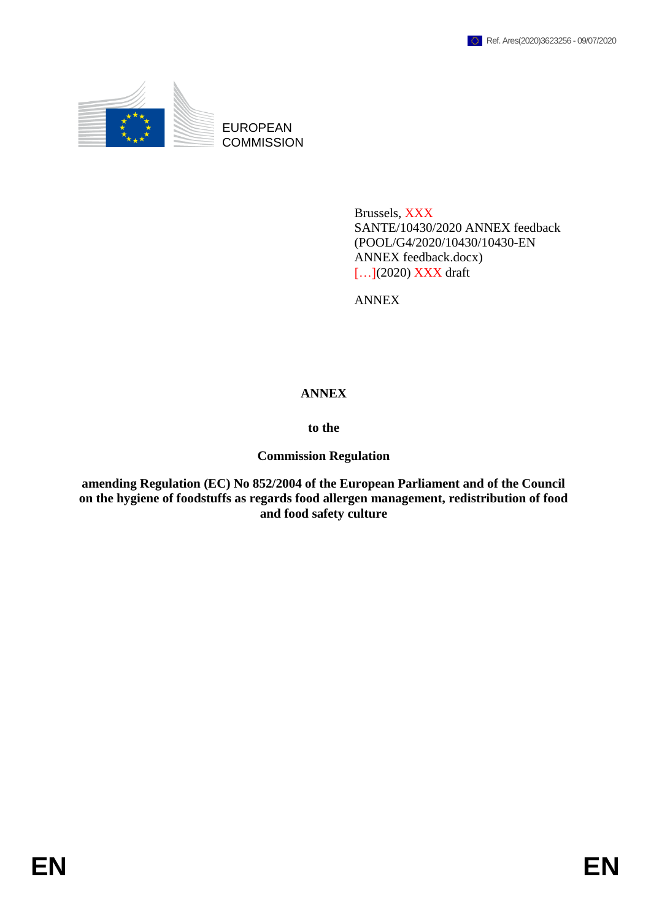

EUROPEAN **COMMISSION** 

> Brussels, XXX SANTE/10430/2020 ANNEX feedback (POOL/G4/2020/10430/10430-EN ANNEX feedback.docx) [...](2020) **XXX** draft

ANNEX

### **ANNEX**

**to the**

**Commission Regulation**

**amending Regulation (EC) No 852/2004 of the European Parliament and of the Council on the hygiene of foodstuffs as regards food allergen management, redistribution of food and food safety culture**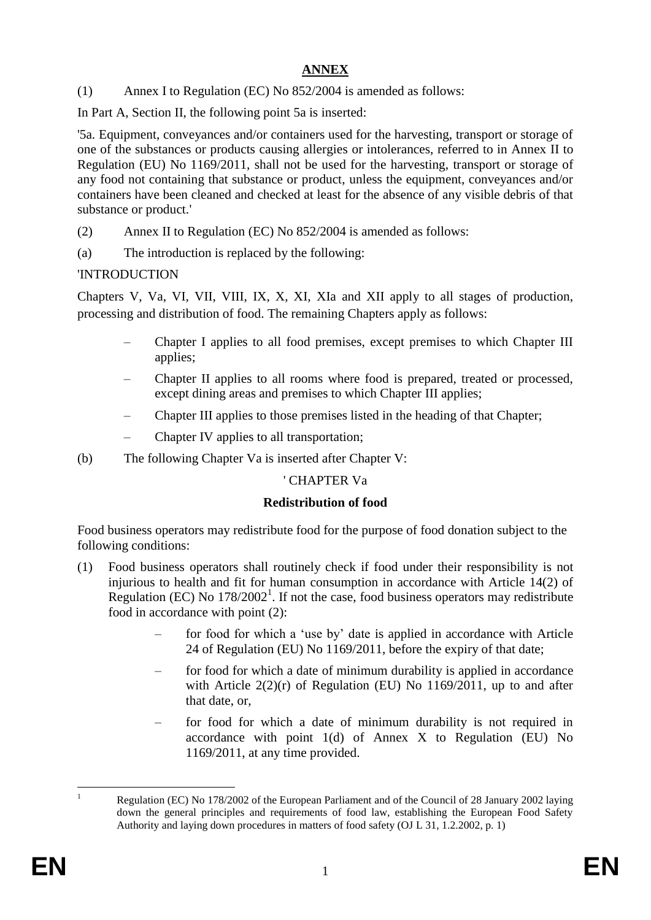# **ANNEX**

(1) Annex I to Regulation (EC) No 852/2004 is amended as follows:

In Part A, Section II, the following point 5a is inserted:

'5a. Equipment, conveyances and/or containers used for the harvesting, transport or storage of one of the substances or products causing allergies or intolerances, referred to in Annex II to Regulation (EU) No 1169/2011, shall not be used for the harvesting, transport or storage of any food not containing that substance or product, unless the equipment, conveyances and/or containers have been cleaned and checked at least for the absence of any visible debris of that substance or product.'

- (2) Annex II to Regulation (EC) No 852/2004 is amended as follows:
- (a) The introduction is replaced by the following:

### 'INTRODUCTION

Chapters V, Va, VI, VII, VIII, IX, X, XI, XIa and XII apply to all stages of production, processing and distribution of food. The remaining Chapters apply as follows:

- Chapter I applies to all food premises, except premises to which Chapter III applies;
- Chapter II applies to all rooms where food is prepared, treated or processed, except dining areas and premises to which Chapter III applies;
- Chapter III applies to those premises listed in the heading of that Chapter;
- Chapter IV applies to all transportation;
- (b) The following Chapter Va is inserted after Chapter V:

# ' CHAPTER Va

# **Redistribution of food**

Food business operators may redistribute food for the purpose of food donation subject to the following conditions:

- (1) Food business operators shall routinely check if food under their responsibility is not injurious to health and fit for human consumption in accordance with Article 14(2) of Regulation (EC) No  $178/2002<sup>1</sup>$ . If not the case, food business operators may redistribute food in accordance with point (2):
	- for food for which a 'use by' date is applied in accordance with Article 24 of Regulation (EU) No 1169/2011, before the expiry of that date;
	- for food for which a date of minimum durability is applied in accordance with Article  $2(2)(r)$  of Regulation (EU) No 1169/2011, up to and after that date, or,
	- for food for which a date of minimum durability is not required in accordance with point 1(d) of Annex X to Regulation (EU) No 1169/2011, at any time provided.

 $\mathbf{1}$ 

Regulation (EC) No 178/2002 of the European Parliament and of the Council of 28 January 2002 laying down the general principles and requirements of food law, establishing the European Food Safety Authority and laying down procedures in matters of food safety (OJ L 31, 1.2.2002, p. 1)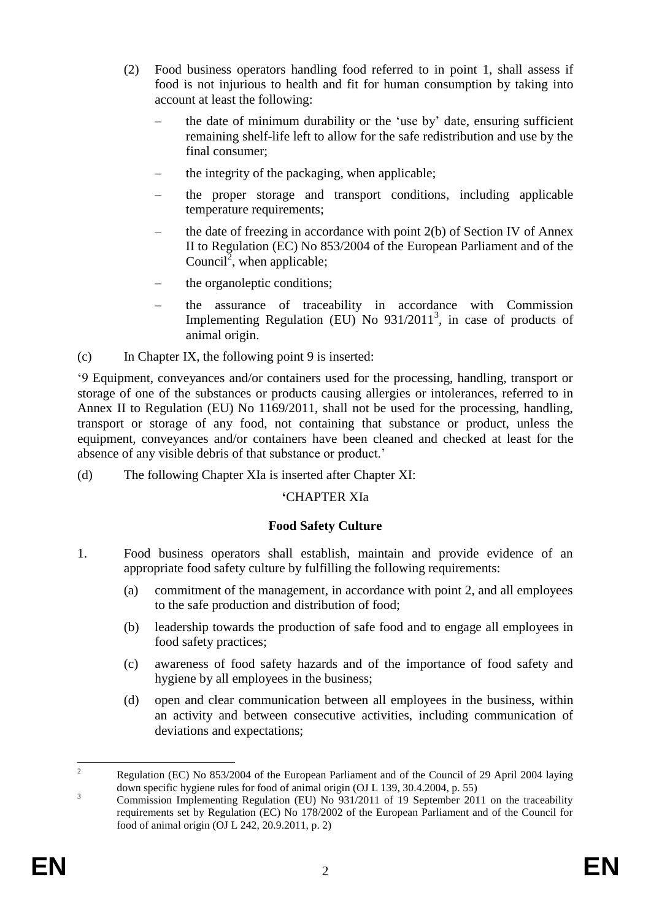- (2) Food business operators handling food referred to in point 1, shall assess if food is not injurious to health and fit for human consumption by taking into account at least the following:
	- the date of minimum durability or the 'use by' date, ensuring sufficient remaining shelf-life left to allow for the safe redistribution and use by the final consumer;
	- the integrity of the packaging, when applicable;
	- the proper storage and transport conditions, including applicable temperature requirements;
	- the date of freezing in accordance with point  $2(b)$  of Section IV of Annex II to Regulation (EC) No 853/2004 of the European Parliament and of the Council<sup>2</sup>, when applicable;
	- the organoleptic conditions;
	- the assurance of traceability in accordance with Commission Implementing Regulation (EU) No  $931/2011^3$ , in case of products of animal origin.

(c) In Chapter IX, the following point 9 is inserted:

'9 Equipment, conveyances and/or containers used for the processing, handling, transport or storage of one of the substances or products causing allergies or intolerances, referred to in Annex II to Regulation (EU) No 1169/2011, shall not be used for the processing, handling, transport or storage of any food, not containing that substance or product, unless the equipment, conveyances and/or containers have been cleaned and checked at least for the absence of any visible debris of that substance or product.'

(d) The following Chapter XIa is inserted after Chapter XI:

#### **'**CHAPTER XIa

#### **Food Safety Culture**

- 1. Food business operators shall establish, maintain and provide evidence of an appropriate food safety culture by fulfilling the following requirements:
	- (a) commitment of the management, in accordance with point 2, and all employees to the safe production and distribution of food;
	- (b) leadership towards the production of safe food and to engage all employees in food safety practices;
	- (c) awareness of food safety hazards and of the importance of food safety and hygiene by all employees in the business;
	- (d) open and clear communication between all employees in the business, within an activity and between consecutive activities, including communication of deviations and expectations;

 $\overline{\phantom{a}}$ <sup>2</sup> Regulation (EC) No 853/2004 of the European Parliament and of the Council of 29 April 2004 laying down specific hygiene rules for food of animal origin (OJ L 139, 30.4.2004, p. 55)

<sup>&</sup>lt;sup>3</sup><br><sup>3</sup> Commission Implementing Regulation (EU) No 931/2011 of 19 September 2011 on the traceability requirements set by Regulation (EC) No 178/2002 of the European Parliament and of the Council for food of animal origin (OJ L 242, 20.9.2011, p. 2)